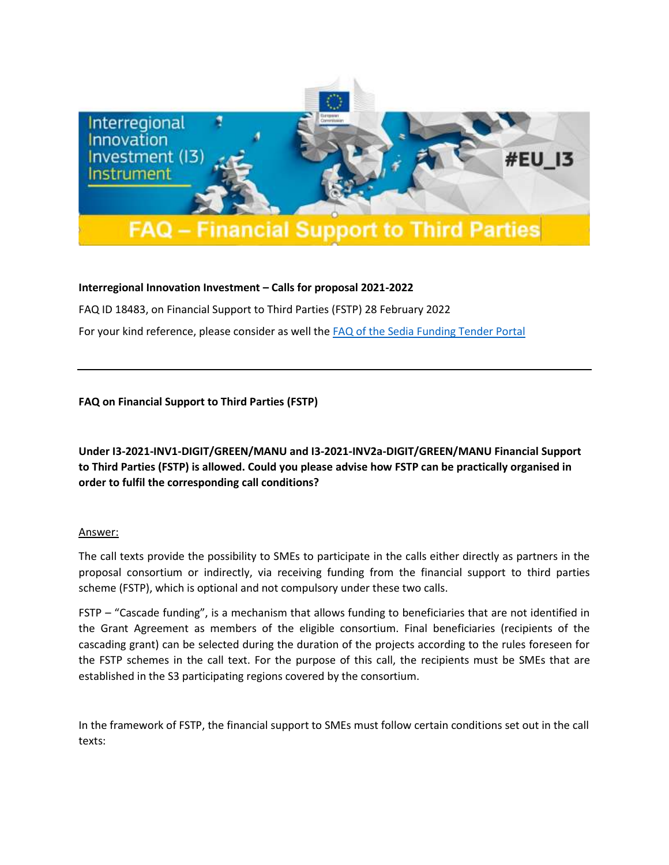

## **Interregional Innovation Investment – Calls for proposal 2021-2022**

FAQ ID 18483, on Financial Support to Third Parties (FSTP) 28 February 2022

For your kind reference, please consider as well the **FAQ of the Sedia Funding Tender Portal** 

**FAQ on Financial Support to Third Parties (FSTP)**

**Under I3-2021-INV1-DIGIT/GREEN/MANU and I3-2021-INV2a-DIGIT/GREEN/MANU Financial Support to Third Parties (FSTP) is allowed. Could you please advise how FSTP can be practically organised in order to fulfil the corresponding call conditions?**

## Answer:

The call texts provide the possibility to SMEs to participate in the calls either directly as partners in the proposal consortium or indirectly, via receiving funding from the financial support to third parties scheme (FSTP), which is optional and not compulsory under these two calls.

FSTP – "Cascade funding", is a mechanism that allows funding to beneficiaries that are not identified in the Grant Agreement as members of the eligible consortium. Final beneficiaries (recipients of the cascading grant) can be selected during the duration of the projects according to the rules foreseen for the FSTP schemes in the call text. For the purpose of this call, the recipients must be SMEs that are established in the S3 participating regions covered by the consortium.

In the framework of FSTP, the financial support to SMEs must follow certain conditions set out in the call texts: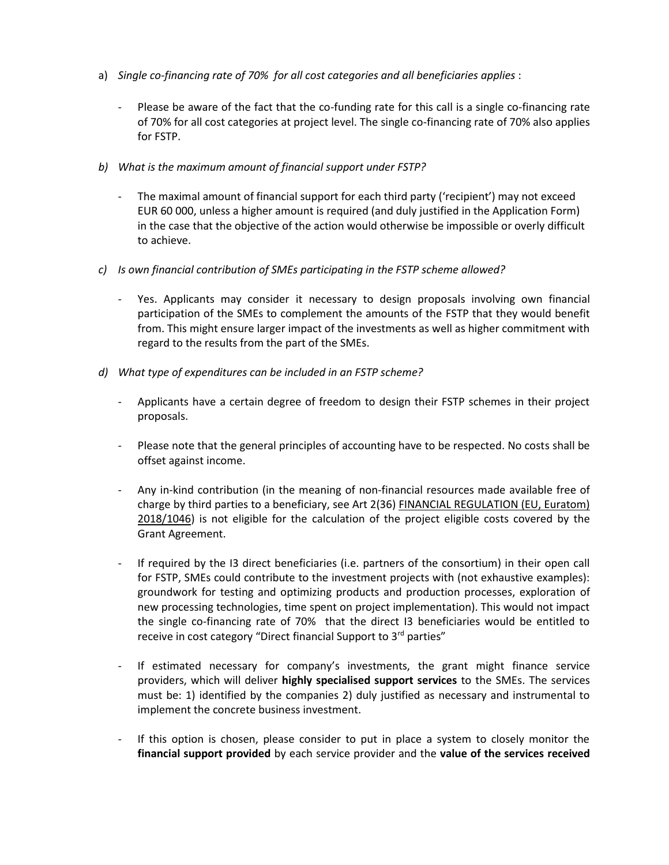- a) *Single co-financing rate of 70% for all cost categories and all beneficiaries applies* :
	- Please be aware of the fact that the co-funding rate for this call is a single co-financing rate of 70% for all cost categories at project level. The single co-financing rate of 70% also applies for FSTP.
- *b) What is the maximum amount of financial support under FSTP?*
	- The maximal amount of financial support for each third party ('recipient') may not exceed EUR 60 000, unless a higher amount is required (and duly justified in the Application Form) in the case that the objective of the action would otherwise be impossible or overly difficult to achieve.
- *c) Is own financial contribution of SMEs participating in the FSTP scheme allowed?*
	- Yes. Applicants may consider it necessary to design proposals involving own financial participation of the SMEs to complement the amounts of the FSTP that they would benefit from. This might ensure larger impact of the investments as well as higher commitment with regard to the results from the part of the SMEs.
- *d) What type of expenditures can be included in an FSTP scheme?*
	- Applicants have a certain degree of freedom to design their FSTP schemes in their project proposals.
	- Please note that the general principles of accounting have to be respected. No costs shall be offset against income.
	- Any in-kind contribution (in the meaning of non-financial resources made available free of charge by third parties to a beneficiary, see Art 2(36) FINANCIAL REGULATION (EU, Euratom) [2018/1046\)](https://eur-lex.europa.eu/legal-content/EN/TXT/PDF/?uri=CELEX:32018R1046&from=EN) is not eligible for the calculation of the project eligible costs covered by the Grant Agreement.
	- If required by the I3 direct beneficiaries (i.e. partners of the consortium) in their open call for FSTP, SMEs could contribute to the investment projects with (not exhaustive examples): groundwork for testing and optimizing products and production processes, exploration of new processing technologies, time spent on project implementation). This would not impact the single co-financing rate of 70% that the direct I3 beneficiaries would be entitled to receive in cost category "Direct financial Support to 3<sup>rd</sup> parties"
	- If estimated necessary for company's investments, the grant might finance service providers, which will deliver **highly specialised support services** to the SMEs. The services must be: 1) identified by the companies 2) duly justified as necessary and instrumental to implement the concrete business investment.
	- If this option is chosen, please consider to put in place a system to closely monitor the **financial support provided** by each service provider and the **value of the services received**